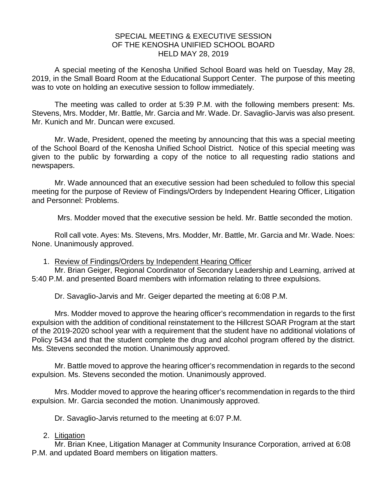## SPECIAL MEETING & EXECUTIVE SESSION OF THE KENOSHA UNIFIED SCHOOL BOARD HELD MAY 28, 2019

A special meeting of the Kenosha Unified School Board was held on Tuesday, May 28, 2019, in the Small Board Room at the Educational Support Center. The purpose of this meeting was to vote on holding an executive session to follow immediately.

The meeting was called to order at 5:39 P.M. with the following members present: Ms. Stevens, Mrs. Modder, Mr. Battle, Mr. Garcia and Mr. Wade. Dr. Savaglio-Jarvis was also present. Mr. Kunich and Mr. Duncan were excused.

Mr. Wade, President, opened the meeting by announcing that this was a special meeting of the School Board of the Kenosha Unified School District. Notice of this special meeting was given to the public by forwarding a copy of the notice to all requesting radio stations and newspapers.

Mr. Wade announced that an executive session had been scheduled to follow this special meeting for the purpose of Review of Findings/Orders by Independent Hearing Officer, Litigation and Personnel: Problems.

Mrs. Modder moved that the executive session be held. Mr. Battle seconded the motion.

Roll call vote. Ayes: Ms. Stevens, Mrs. Modder, Mr. Battle, Mr. Garcia and Mr. Wade. Noes: None. Unanimously approved.

1. Review of Findings/Orders by Independent Hearing Officer

Mr. Brian Geiger, Regional Coordinator of Secondary Leadership and Learning, arrived at 5:40 P.M. and presented Board members with information relating to three expulsions.

Dr. Savaglio-Jarvis and Mr. Geiger departed the meeting at 6:08 P.M.

Mrs. Modder moved to approve the hearing officer's recommendation in regards to the first expulsion with the addition of conditional reinstatement to the Hillcrest SOAR Program at the start of the 2019-2020 school year with a requirement that the student have no additional violations of Policy 5434 and that the student complete the drug and alcohol program offered by the district. Ms. Stevens seconded the motion. Unanimously approved.

Mr. Battle moved to approve the hearing officer's recommendation in regards to the second expulsion. Ms. Stevens seconded the motion. Unanimously approved.

Mrs. Modder moved to approve the hearing officer's recommendation in regards to the third expulsion. Mr. Garcia seconded the motion. Unanimously approved.

Dr. Savaglio-Jarvis returned to the meeting at 6:07 P.M.

## 2. Litigation

Mr. Brian Knee, Litigation Manager at Community Insurance Corporation, arrived at 6:08 P.M. and updated Board members on litigation matters.